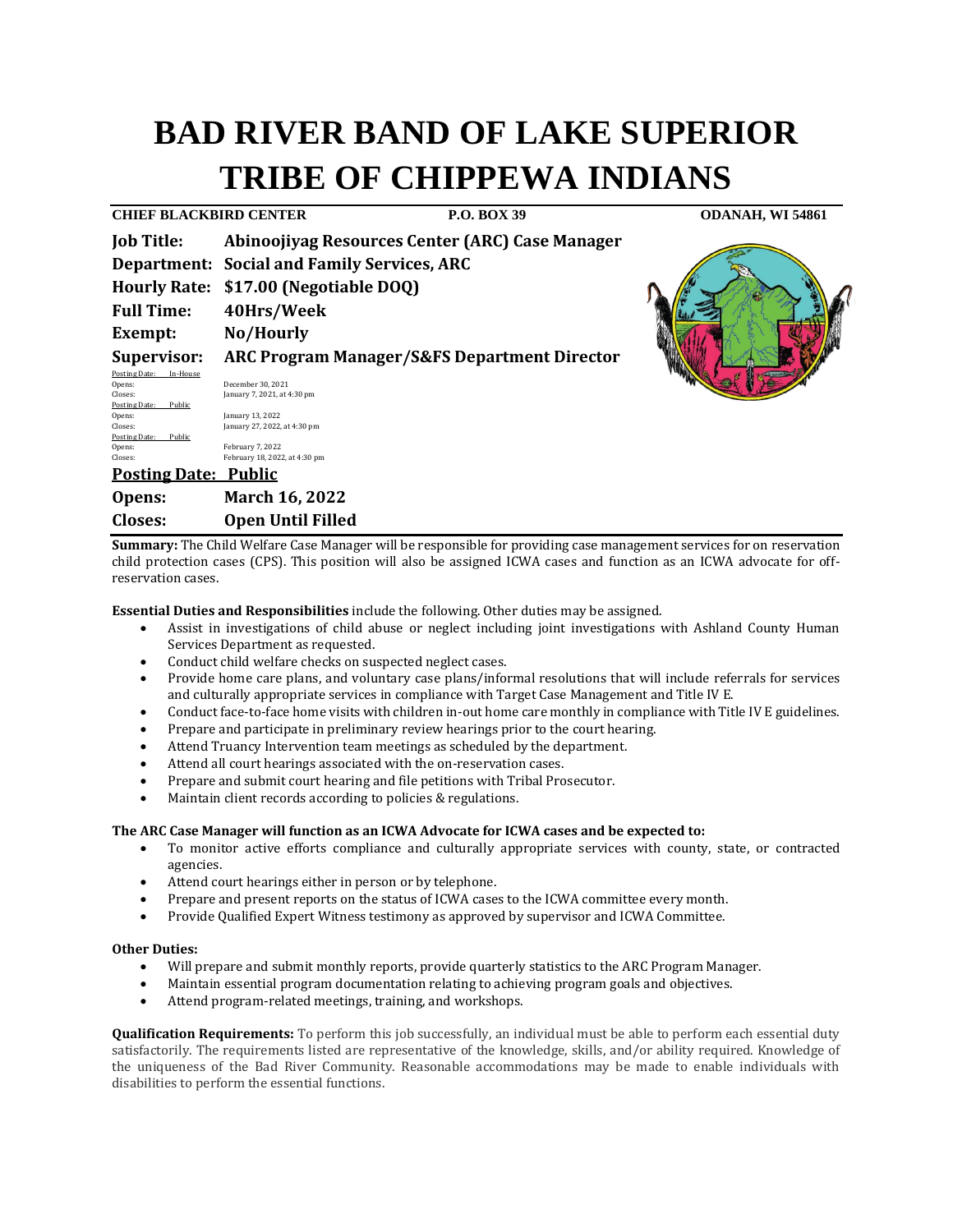# **BAD RIVER BAND OF LAKE SUPERIOR TRIBE OF CHIPPEWA INDIANS**

| <b>CHIEF BLACKBIRD CENTER</b>      | <b>P.O. BOX 39</b>                                      | ODANAH, WI 54861 |
|------------------------------------|---------------------------------------------------------|------------------|
| <b>Job Title:</b>                  | Abinoojiyag Resources Center (ARC) Case Manager         |                  |
|                                    | <b>Department: Social and Family Services, ARC</b>      |                  |
|                                    | Hourly Rate: \$17.00 (Negotiable DOQ)                   |                  |
| <b>Full Time:</b>                  | 40Hrs/Week                                              |                  |
| Exempt:                            | No/Hourly                                               |                  |
| <b>Supervisor:</b>                 | <b>ARC Program Manager/S&amp;FS Department Director</b> |                  |
| Posting Date:<br>In-House          |                                                         |                  |
| Opens:<br>Closes:                  | December 30, 2021<br>January 7, 2021, at 4:30 pm        |                  |
| Posting Date:<br>Public            |                                                         |                  |
| Opens:                             | January 13, 2022                                        |                  |
| Closes:<br>Posting Date:<br>Public | January 27, 2022, at 4:30 pm                            |                  |
| Opens:                             | February 7, 2022                                        |                  |
| Closes:                            | February 18, 2022, at 4:30 pm                           |                  |
| <b>Posting Date: Public</b>        |                                                         |                  |
| Opens:                             | <b>March 16, 2022</b>                                   |                  |

**Closes: Open Until Filled**

**Summary:** The Child Welfare Case Manager will be responsible for providing case management services for on reservation child protection cases (CPS). This position will also be assigned ICWA cases and function as an ICWA advocate for offreservation cases.

**Essential Duties and Responsibilities** include the following. Other duties may be assigned.

- Assist in investigations of child abuse or neglect including joint investigations with Ashland County Human Services Department as requested.
- Conduct child welfare checks on suspected neglect cases.
- Provide home care plans, and voluntary case plans/informal resolutions that will include referrals for services and culturally appropriate services in compliance with Target Case Management and Title IV E.
- Conduct face-to-face home visits with children in-out home care monthly in compliance with Title IV E guidelines.
- Prepare and participate in preliminary review hearings prior to the court hearing.
- Attend Truancy Intervention team meetings as scheduled by the department.
- Attend all court hearings associated with the on-reservation cases.
- Prepare and submit court hearing and file petitions with Tribal Prosecutor.
- Maintain client records according to policies & regulations.

# **The ARC Case Manager will function as an ICWA Advocate for ICWA cases and be expected to:**

- To monitor active efforts compliance and culturally appropriate services with county, state, or contracted agencies.
- Attend court hearings either in person or by telephone.
- Prepare and present reports on the status of ICWA cases to the ICWA committee every month.
- Provide Qualified Expert Witness testimony as approved by supervisor and ICWA Committee.

#### **Other Duties:**

- Will prepare and submit monthly reports, provide quarterly statistics to the ARC Program Manager.
- Maintain essential program documentation relating to achieving program goals and objectives.
- Attend program-related meetings, training, and workshops.

**Qualification Requirements:** To perform this job successfully, an individual must be able to perform each essential duty satisfactorily. The requirements listed are representative of the knowledge, skills, and/or ability required. Knowledge of the uniqueness of the Bad River Community. Reasonable accommodations may be made to enable individuals with disabilities to perform the essential functions.